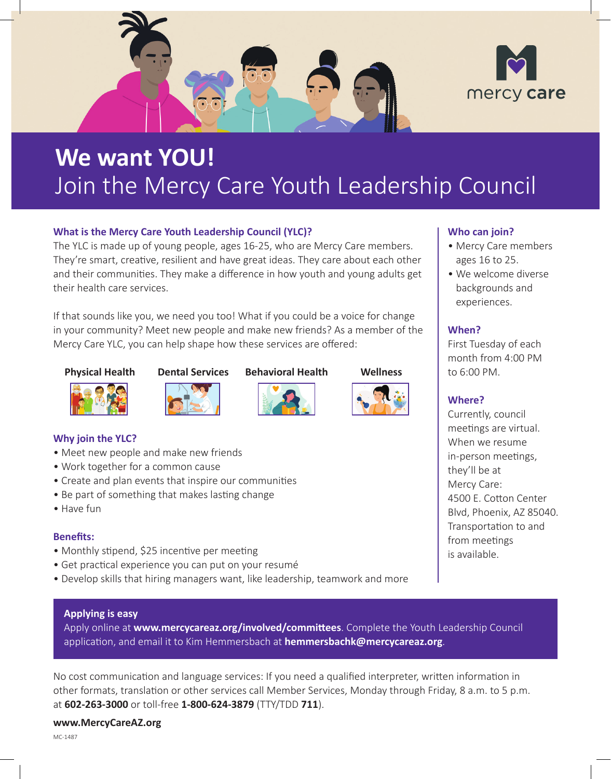

# **We want YOU!**  Join the Mercy Care Youth Leadership Council

#### **What is the Mercy Care Youth Leadership Council (YLC)?**

The YLC is made up of young people, ages 16-25, who are Mercy Care members. They're smart, creative, resilient and have great ideas. They care about each other and their communities. They make a difference in how youth and young adults get their health care services.

If that sounds like you, we need you too! What if you could be a voice for change in your community? Meet new people and make new friends? As a member of the Mercy Care YLC, you can help shape how these services are offered:

#### **Physical Health Dental Services Behavioral Health Wellness**









### **Why join the YLC?**

- Meet new people and make new friends
- Work together for a common cause
- Create and plan events that inspire our communities
- Be part of something that makes lasting change
- Have fun

#### **Benefits:**

- Monthly stipend, \$25 incentive per meeting
- Get practical experience you can put on your resumé
- Develop skills that hiring managers want, like leadership, teamwork and more

#### **Applying is easy**

Apply online at **[www.mercycareaz.org/involved/committees](http://www.mercycareaz.org/involved/committees)**. Complete the Youth Leadership Council application, and email it to Kim Hemmersbach at **[hemmersbachk@mercycareaz.org](mailto:hemmersbachk@mercycareaz.org)**.

No cost communication and language services: If you need a qualified interpreter, written information in other formats, translation or other services call Member Services, Monday through Friday, 8 a.m. to 5 p.m. at **602-263-3000** or toll-free **1-800-624-3879** (TTY/TDD **711**).

#### **www.MercyCareAZ.org**

MC-1487

#### **Who can join?**

- Mercy Care members ages 16 to 25.
- We welcome diverse backgrounds and experiences.

#### **When?**

 to 6:00 PM. First Tuesday of each month from 4:00 PM

#### **Where?**

Currently, council meetings are virtual. When we resume in-person meetings, they'll be at Mercy Care: 4500 E. Cotton Center Blvd, Phoenix, AZ 85040. Transportation to and from meetings is available.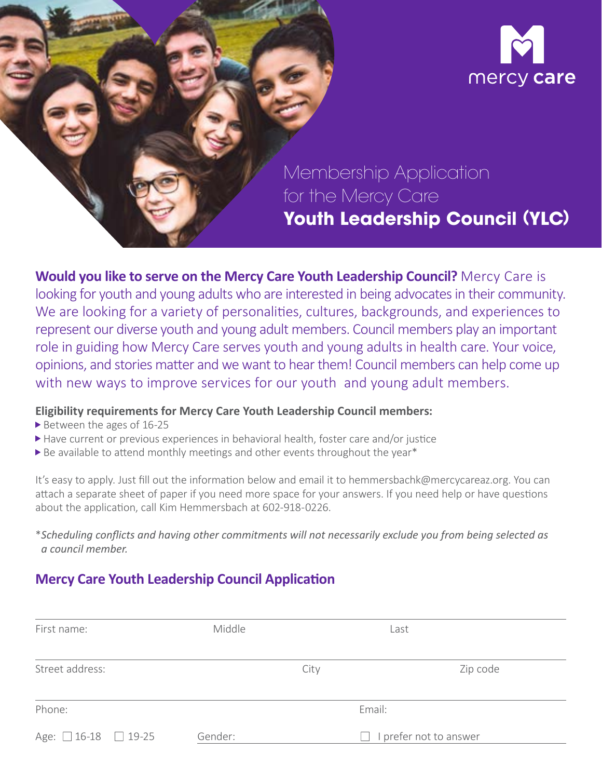

### Membership Application for the Mercy Care **Youth Leadership Council** (**YLC**)

**Would you like to serve on the Mercy Care Youth Leadership Council?** Mercy Care is looking for youth and young adults who are interested in being advocates in their community. We are looking for a variety of personalities, cultures, backgrounds, and experiences to represent our diverse youth and young adult members. Council members play an important role in guiding how Mercy Care serves youth and young adults in health care. Your voice, opinions, and stories matter and we want to hear them! Council members can help come up with new ways to improve services for our youth and young adult members.

#### **Eligibility requirements for Mercy Care Youth Leadership Council members:**

- Between the ages of 16-25
- Have current or previous experiences in behavioral health, foster care and/or justice
- Be available to attend monthly meetings and other events throughout the year\*

It's easy to apply. Just fill out the information below and email it to hemmersbachk@mercycareaz.org. You can attach a separate sheet of paper if you need more space for your answers. If you need help or have questions about the application, call Kim Hemmersbach at 602-918-0226.

\**Scheduling conflicts and having other commitments will not necessarily exclude you from being selected as a council member.*

### **Mercy Care Youth Leadership Council Application**

| First name:      | Middle  |      | Last                 |  |
|------------------|---------|------|----------------------|--|
| Street address:  |         | City | Zip code             |  |
| Phone:           |         |      | Email:               |  |
| Age: 16-18 19-25 | Gender: |      | prefer not to answer |  |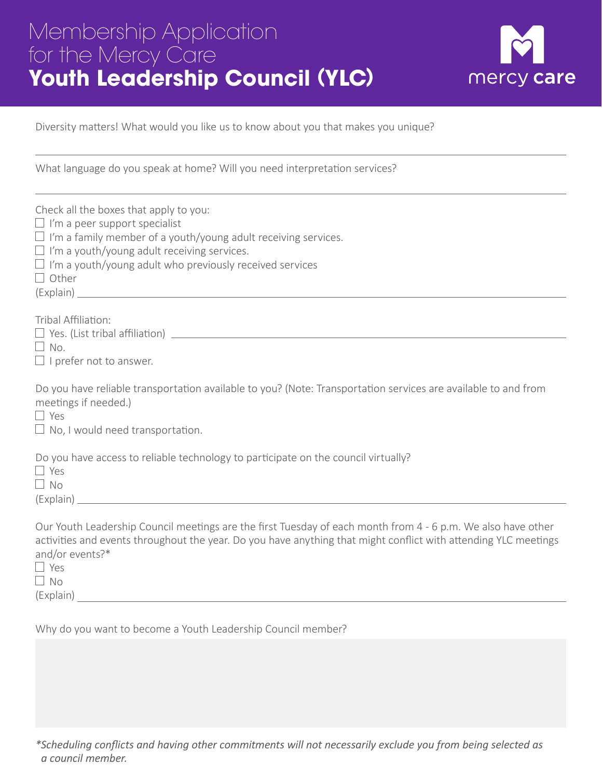## Membership Application for the Mercy Care **Youth Leadership Council** (**YLC**)



Diversity matters! What would you like us to know about you that makes you unique?

What language do you speak at home? Will you need interpretation services?

| Check all the boxes that apply to you:<br>$\Box$ I'm a peer support specialist<br>$\Box$ I'm a family member of a youth/young adult receiving services.<br>$\Box$ I'm a youth/young adult receiving services.<br>$\Box$ I'm a youth/young adult who previously received services<br>$\Box$ Other |
|--------------------------------------------------------------------------------------------------------------------------------------------------------------------------------------------------------------------------------------------------------------------------------------------------|
| Tribal Affiliation:                                                                                                                                                                                                                                                                              |
| $\Box$ No.<br>$\Box$ I prefer not to answer.                                                                                                                                                                                                                                                     |
| Do you have reliable transportation available to you? (Note: Transportation services are available to and from<br>meetings if needed.)<br>$\Box$ Yes<br>$\Box$ No, I would need transportation.                                                                                                  |
| Do you have access to reliable technology to participate on the council virtually?<br>$\Box$ Yes<br>$\Box$ No                                                                                                                                                                                    |
| Our Youth Leadership Council meetings are the first Tuesday of each month from 4 - 6 p.m. We also have other<br>activities and events throughout the year. Do you have anything that might conflict with attending YLC meetings<br>and/or events?*<br>$\Box$ Yes<br>$\Box$ No<br>(Explain)       |

Why do you want to become a Youth Leadership Council member?

*\*Scheduling conflicts and having other commitments will not necessarily exclude you from being selected as a council member.*